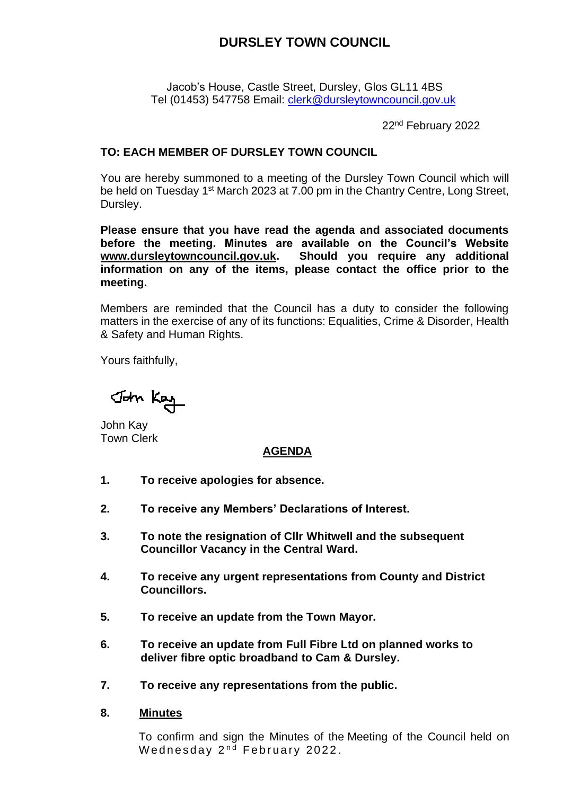# **DURSLEY TOWN COUNCIL**

Jacob's House, Castle Street, Dursley, Glos GL11 4BS Tel (01453) 547758 Email: [clerk@dursleytowncouncil.gov.uk](mailto:clerk@dursleytowncouncil.gov.uk)

22nd February 2022

### **TO: EACH MEMBER OF DURSLEY TOWN COUNCIL**

You are hereby summoned to a meeting of the Dursley Town Council which will be held on Tuesday 1<sup>st</sup> March 2023 at 7.00 pm in the Chantry Centre, Long Street, Dursley.

**Please ensure that you have read the agenda and associated documents before the meeting. Minutes are available on the Council's Website [www.dursleytowncouncil.gov.uk.](http://www.dursleytowncouncil.gov.uk/) Should you require any additional information on any of the items, please contact the office prior to the meeting.**

Members are reminded that the Council has a duty to consider the following matters in the exercise of any of its functions: Equalities, Crime & Disorder, Health & Safety and Human Rights.

Yours faithfully,

John Kay

John Kay Town Clerk

# **AGENDA**

- **1. To receive apologies for absence.**
- **2. To receive any Members' Declarations of Interest.**
- **3. To note the resignation of Cllr Whitwell and the subsequent Councillor Vacancy in the Central Ward.**
- **4. To receive any urgent representations from County and District Councillors.**
- **5. To receive an update from the Town Mayor.**
- **6. To receive an update from Full Fibre Ltd on planned works to deliver fibre optic broadband to Cam & Dursley.**
- **7. To receive any representations from the public.**
- **8. Minutes**

To confirm and sign the Minutes of the Meeting of the Council held on Wednesday  $2<sup>nd</sup>$  February 2022.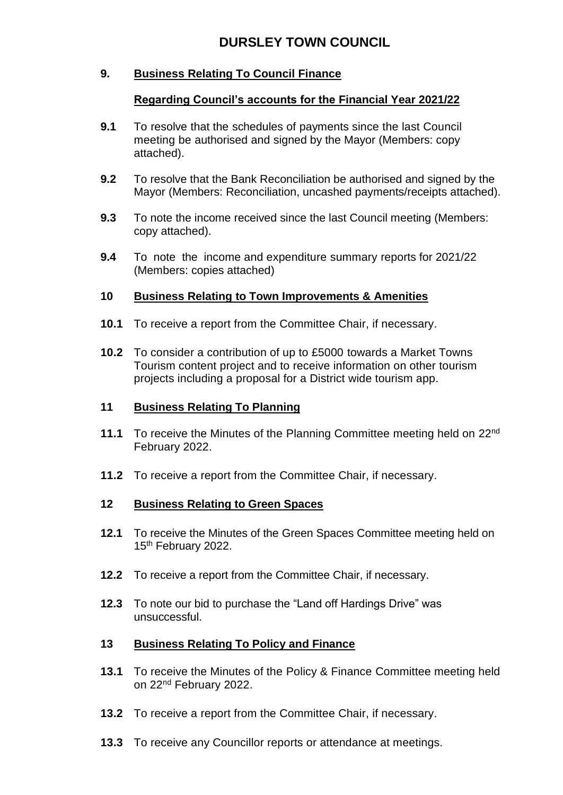# **9. Business Relating To Council Finance**

### **Regarding Council's accounts for the Financial Year 2021/22**

- **9.1** To resolve that the schedules of payments since the last Council meeting be authorised and signed by the Mayor (Members: copy attached).
- **9.2** To resolve that the Bank Reconciliation be authorised and signed by the Mayor (Members: Reconciliation, uncashed payments/receipts attached).
- **9.3** To note the income received since the last Council meeting (Members: copy attached).
- **9.4** To note the income and expenditure summary reports for 2021/22 (Members: copies attached)

# **10 Business Relating to Town Improvements & Amenities**

- **10.1** To receive a report from the Committee Chair, if necessary.
- **10.2** To consider a contribution of up to £5000 towards a Market Towns Tourism content project and to receive information on other tourism projects including a proposal for a District wide tourism app.

### **11 Business Relating To Planning**

- **11.1** To receive the Minutes of the Planning Committee meeting held on 22nd February 2022.
- **11.2** To receive a report from the Committee Chair, if necessary.

### **12 Business Relating to Green Spaces**

- **12.1** To receive the Minutes of the Green Spaces Committee meeting held on 15<sup>th</sup> February 2022.
- **12.2** To receive a report from the Committee Chair, if necessary.
- **12.3** To note our bid to purchase the "Land off Hardings Drive" was unsuccessful.

# **13 Business Relating To Policy and Finance**

- **13.1** To receive the Minutes of the Policy & Finance Committee meeting held on 22nd February 2022.
- **13.2** To receive a report from the Committee Chair, if necessary.
- **13.3** To receive any Councillor reports or attendance at meetings.